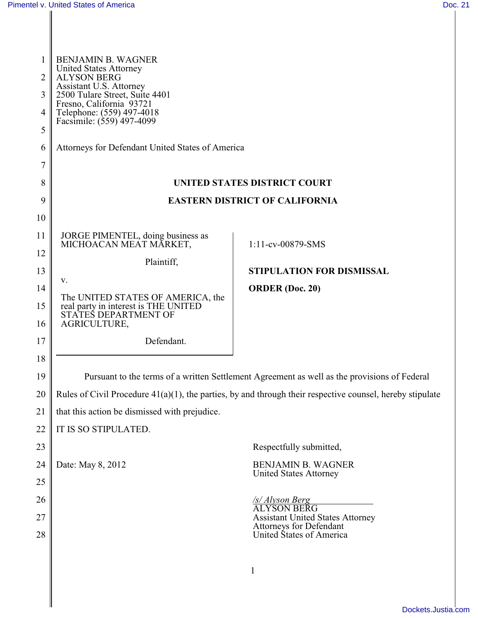| $\overline{2}$<br>3<br>4<br>5 | <b>BENJAMIN B. WAGNER</b><br><b>United States Attorney</b><br><b>ALYSON BERG</b><br>Assistant U.S. Attorney<br>2500 Tulare Street, Suite 4401<br>Fresno, California <sup>93721</sup><br>Telephone: (559) 497-4018<br>Facsimile: (559) 497-4099 |                                                               |
|-------------------------------|------------------------------------------------------------------------------------------------------------------------------------------------------------------------------------------------------------------------------------------------|---------------------------------------------------------------|
| 6                             | Attorneys for Defendant United States of America                                                                                                                                                                                               |                                                               |
| 7<br>8                        |                                                                                                                                                                                                                                                | UNITED STATES DISTRICT COURT                                  |
| 9                             | <b>EASTERN DISTRICT OF CALIFORNIA</b>                                                                                                                                                                                                          |                                                               |
| 10                            |                                                                                                                                                                                                                                                |                                                               |
| 11                            | JORGE PIMENTEL, doing business as                                                                                                                                                                                                              |                                                               |
| 12                            | MICHOACAN MEAT MĂRKET,                                                                                                                                                                                                                         | 1:11-cv-00879-SMS                                             |
| 13                            | Plaintiff,                                                                                                                                                                                                                                     | STIPULATION FOR DISMISSAL                                     |
| 14                            | V.                                                                                                                                                                                                                                             | <b>ORDER</b> (Doc. 20)                                        |
| 15                            | The UNITED STATES OF AMERICA, the<br>real party in interest is THE UNITED                                                                                                                                                                      |                                                               |
| 16                            | STATES DEPARTMENT OF<br>AGRICULTURE,                                                                                                                                                                                                           |                                                               |
| 17                            | Defendant.                                                                                                                                                                                                                                     |                                                               |
| 18                            |                                                                                                                                                                                                                                                |                                                               |
| 19                            | Pursuant to the terms of a written Settlement Agreement as well as the provisions of Federal                                                                                                                                                   |                                                               |
| 20                            | Rules of Civil Procedure $41(a)(1)$ , the parties, by and through their respective counsel, hereby stipulate                                                                                                                                   |                                                               |
| 21                            | that this action be dismissed with prejudice.                                                                                                                                                                                                  |                                                               |
| 22                            | IT IS SO STIPULATED.                                                                                                                                                                                                                           |                                                               |
| 23                            |                                                                                                                                                                                                                                                | Respectfully submitted,                                       |
| 24                            | Date: May 8, 2012                                                                                                                                                                                                                              | <b>BENJAMIN B. WAGNER</b>                                     |
| 25                            |                                                                                                                                                                                                                                                | <b>United States Attorney</b>                                 |
| 26                            |                                                                                                                                                                                                                                                | <u>/s/ Alyson Berg</u>                                        |
| 27                            |                                                                                                                                                                                                                                                | <b>ALYSON BERG</b><br><b>Assistant United States Attorney</b> |
| 28                            |                                                                                                                                                                                                                                                | <b>Attorneys for Defendant</b><br>United States of America    |
|                               |                                                                                                                                                                                                                                                |                                                               |